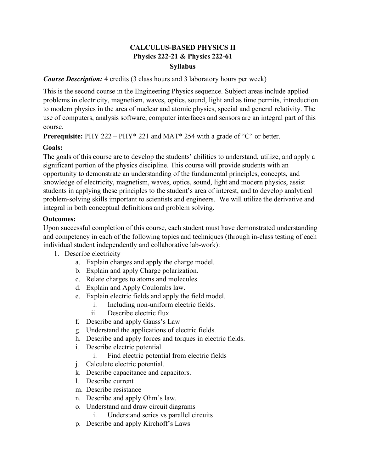## **CALCULUS-BASED PHYSICS II Physics 222-21 & Physics 222-61 Syllabus**

#### *Course Description:* 4 credits (3 class hours and 3 laboratory hours per week)

This is the second course in the Engineering Physics sequence. Subject areas include applied problems in electricity, magnetism, waves, optics, sound, light and as time permits, introduction to modern physics in the area of nuclear and atomic physics, special and general relativity. The use of computers, analysis software, computer interfaces and sensors are an integral part of this course.

**Prerequisite:** PHY 222 – PHY\* 221 and MAT\* 254 with a grade of "C" or better.

### **Goals:**

The goals of this course are to develop the students' abilities to understand, utilize, and apply a significant portion of the physics discipline. This course will provide students with an opportunity to demonstrate an understanding of the fundamental principles, concepts, and knowledge of electricity, magnetism, waves, optics, sound, light and modern physics, assist students in applying these principles to the student's area of interest, and to develop analytical problem-solving skills important to scientists and engineers. We will utilize the derivative and integral in both conceptual definitions and problem solving.

### **Outcomes:**

Upon successful completion of this course, each student must have demonstrated understanding and competency in each of the following topics and techniques (through in-class testing of each individual student independently and collaborative lab-work):

- 1. Describe electricity
	- a. Explain charges and apply the charge model.
	- b. Explain and apply Charge polarization.
	- c. Relate charges to atoms and molecules.
	- d. Explain and Apply Coulombs law.
	- e. Explain electric fields and apply the field model.
		- i. Including non-uniform electric fields.
		- ii. Describe electric flux
	- f. Describe and apply Gauss's Law
	- g. Understand the applications of electric fields.
	- h. Describe and apply forces and torques in electric fields.
	- i. Describe electric potential.
		- i. Find electric potential from electric fields
	- j. Calculate electric potential.
	- k. Describe capacitance and capacitors.
	- l. Describe current
	- m. Describe resistance
	- n. Describe and apply Ohm's law.
	- o. Understand and draw circuit diagrams
		- i. Understand series vs parallel circuits
	- p. Describe and apply Kirchoff's Laws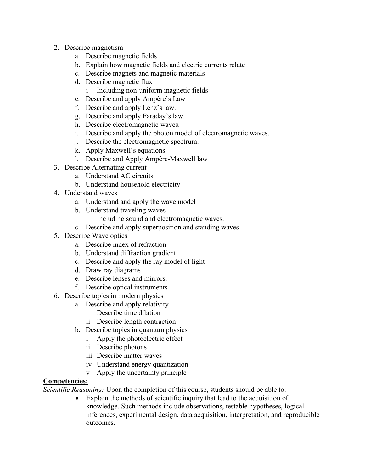- 2. Describe magnetism
	- a. Describe magnetic fields
	- b. Explain how magnetic fields and electric currents relate
	- c. Describe magnets and magnetic materials
	- d. Describe magnetic flux
		- i Including non-uniform magnetic fields
	- e. Describe and apply Ampère's Law
	- f. Describe and apply Lenz's law.
	- g. Describe and apply Faraday's law.
	- h. Describe electromagnetic waves.
	- i. Describe and apply the photon model of electromagnetic waves.
	- j. Describe the electromagnetic spectrum.
	- k. Apply Maxwell's equations
	- l. Describe and Apply Ampère-Maxwell law
- 3. Describe Alternating current
	- a. Understand AC circuits
	- b. Understand household electricity
- 4. Understand waves
	- a. Understand and apply the wave model
	- b. Understand traveling waves
		- i Including sound and electromagnetic waves.
	- c. Describe and apply superposition and standing waves
- 5. Describe Wave optics
	- a. Describe index of refraction
	- b. Understand diffraction gradient
	- c. Describe and apply the ray model of light
	- d. Draw ray diagrams
	- e. Describe lenses and mirrors.
	- f. Describe optical instruments
- 6. Describe topics in modern physics
	- a. Describe and apply relativity
		- i Describe time dilation
		- ii Describe length contraction
	- b. Describe topics in quantum physics
		- i Apply the photoelectric effect
		- ii Describe photons
		- iii Describe matter waves
		- iv Understand energy quantization
		- v Apply the uncertainty principle

# **Competencies:**

*Scientific Reasoning:* Upon the completion of this course, students should be able to:

• Explain the methods of scientific inquiry that lead to the acquisition of knowledge. Such methods include observations, testable hypotheses, logical inferences, experimental design, data acquisition, interpretation, and reproducible outcomes.